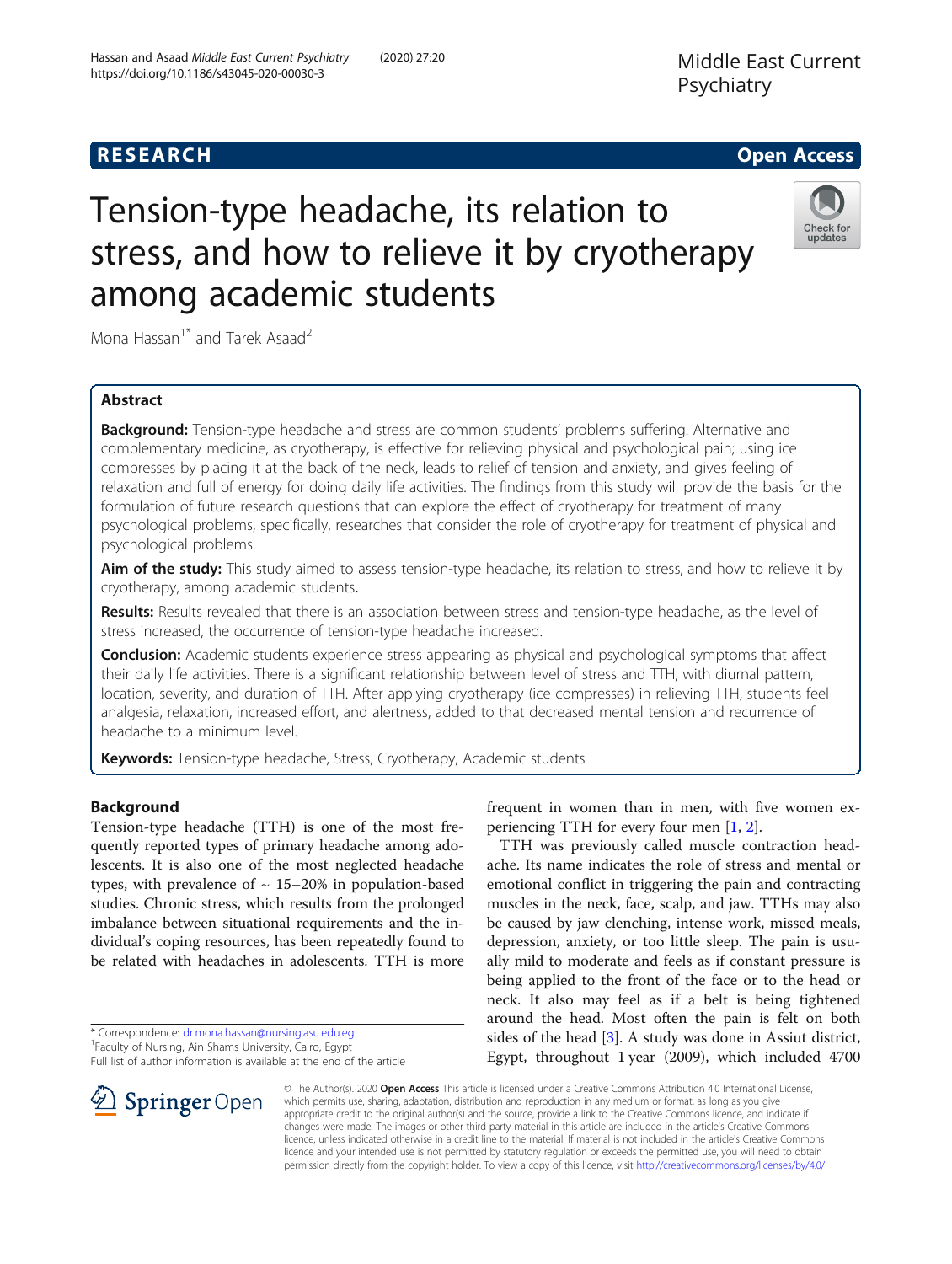# **RESEARCH CHE Open Access**

# Tension-type headache, its relation to stress, and how to relieve it by cryotherapy among academic students



Mona Hassan<sup>1\*</sup> and Tarek Asaad<sup>2</sup>

# Abstract

Background: Tension-type headache and stress are common students' problems suffering. Alternative and complementary medicine, as cryotherapy, is effective for relieving physical and psychological pain; using ice compresses by placing it at the back of the neck, leads to relief of tension and anxiety, and gives feeling of relaxation and full of energy for doing daily life activities. The findings from this study will provide the basis for the formulation of future research questions that can explore the effect of cryotherapy for treatment of many psychological problems, specifically, researches that consider the role of cryotherapy for treatment of physical and psychological problems.

Aim of the study: This study aimed to assess tension-type headache, its relation to stress, and how to relieve it by cryotherapy, among academic students.

Results: Results revealed that there is an association between stress and tension-type headache, as the level of stress increased, the occurrence of tension-type headache increased.

**Conclusion:** Academic students experience stress appearing as physical and psychological symptoms that affect their daily life activities. There is a significant relationship between level of stress and TTH, with diurnal pattern, location, severity, and duration of TTH. After applying cryotherapy (ice compresses) in relieving TTH, students feel analgesia, relaxation, increased effort, and alertness, added to that decreased mental tension and recurrence of headache to a minimum level.

Keywords: Tension-type headache, Stress, Cryotherapy, Academic students

## Background

Tension-type headache (TTH) is one of the most frequently reported types of primary headache among adolescents. It is also one of the most neglected headache types, with prevalence of  $\sim$  15–20% in population-based studies. Chronic stress, which results from the prolonged imbalance between situational requirements and the individual's coping resources, has been repeatedly found to be related with headaches in adolescents. TTH is more

SpringerOpen



ache. Its name indicates the role of stress and mental or emotional conflict in triggering the pain and contracting muscles in the neck, face, scalp, and jaw. TTHs may also be caused by jaw clenching, intense work, missed meals, depression, anxiety, or too little sleep. The pain is usually mild to moderate and feels as if constant pressure is being applied to the front of the face or to the head or neck. It also may feel as if a belt is being tightened around the head. Most often the pain is felt on both sides of the head [[3](#page-9-0)]. A study was done in Assiut district, Egypt, throughout 1 year (2009), which included 4700

© The Author(s). 2020 Open Access This article is licensed under a Creative Commons Attribution 4.0 International License, which permits use, sharing, adaptation, distribution and reproduction in any medium or format, as long as you give appropriate credit to the original author(s) and the source, provide a link to the Creative Commons licence, and indicate if changes were made. The images or other third party material in this article are included in the article's Creative Commons licence, unless indicated otherwise in a credit line to the material. If material is not included in the article's Creative Commons licence and your intended use is not permitted by statutory regulation or exceeds the permitted use, you will need to obtain permission directly from the copyright holder. To view a copy of this licence, visit <http://creativecommons.org/licenses/by/4.0/>.

<sup>\*</sup> Correspondence: [dr.mona.hassan@nursing.asu.edu.eg](mailto:dr.mona.hassan@nursing.asu.edu.eg) <sup>1</sup>

<sup>&</sup>lt;sup>1</sup> Faculty of Nursing, Ain Shams University, Cairo, Egypt

Full list of author information is available at the end of the article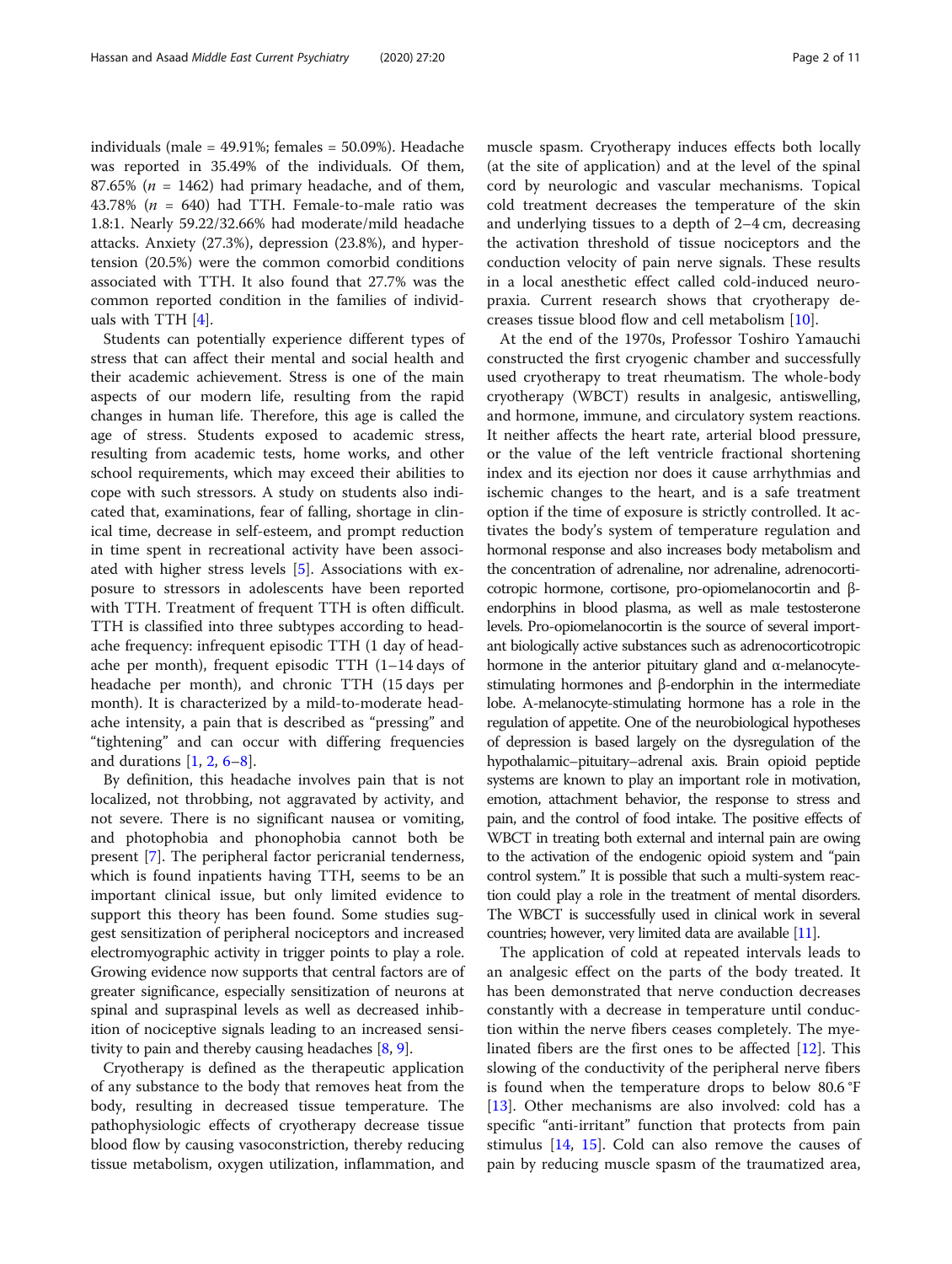individuals (male = 49.91%; females = 50.09%). Headache was reported in 35.49% of the individuals. Of them, 87.65% ( $n = 1462$ ) had primary headache, and of them, 43.78% ( $n = 640$ ) had TTH. Female-to-male ratio was 1.8:1. Nearly 59.22/32.66% had moderate/mild headache attacks. Anxiety (27.3%), depression (23.8%), and hypertension (20.5%) were the common comorbid conditions associated with TTH. It also found that 27.7% was the common reported condition in the families of individuals with TTH [\[4](#page-9-0)].

Students can potentially experience different types of stress that can affect their mental and social health and their academic achievement. Stress is one of the main aspects of our modern life, resulting from the rapid changes in human life. Therefore, this age is called the age of stress. Students exposed to academic stress, resulting from academic tests, home works, and other school requirements, which may exceed their abilities to cope with such stressors. A study on students also indicated that, examinations, fear of falling, shortage in clinical time, decrease in self-esteem, and prompt reduction in time spent in recreational activity have been associated with higher stress levels [\[5](#page-9-0)]. Associations with exposure to stressors in adolescents have been reported with TTH. Treatment of frequent TTH is often difficult. TTH is classified into three subtypes according to headache frequency: infrequent episodic TTH (1 day of headache per month), frequent episodic TTH (1–14 days of headache per month), and chronic TTH (15 days per month). It is characterized by a mild-to-moderate headache intensity, a pain that is described as "pressing" and "tightening" and can occur with differing frequencies and durations  $[1, 2, 6-8]$  $[1, 2, 6-8]$  $[1, 2, 6-8]$  $[1, 2, 6-8]$  $[1, 2, 6-8]$  $[1, 2, 6-8]$  $[1, 2, 6-8]$  $[1, 2, 6-8]$ .

By definition, this headache involves pain that is not localized, not throbbing, not aggravated by activity, and not severe. There is no significant nausea or vomiting, and photophobia and phonophobia cannot both be present [\[7](#page-9-0)]. The peripheral factor pericranial tenderness, which is found inpatients having TTH, seems to be an important clinical issue, but only limited evidence to support this theory has been found. Some studies suggest sensitization of peripheral nociceptors and increased electromyographic activity in trigger points to play a role. Growing evidence now supports that central factors are of greater significance, especially sensitization of neurons at spinal and supraspinal levels as well as decreased inhibition of nociceptive signals leading to an increased sensitivity to pain and thereby causing headaches  $[8, 9]$  $[8, 9]$  $[8, 9]$  $[8, 9]$  $[8, 9]$ .

Cryotherapy is defined as the therapeutic application of any substance to the body that removes heat from the body, resulting in decreased tissue temperature. The pathophysiologic effects of cryotherapy decrease tissue blood flow by causing vasoconstriction, thereby reducing tissue metabolism, oxygen utilization, inflammation, and

muscle spasm. Cryotherapy induces effects both locally (at the site of application) and at the level of the spinal cord by neurologic and vascular mechanisms. Topical cold treatment decreases the temperature of the skin and underlying tissues to a depth of 2–4 cm, decreasing the activation threshold of tissue nociceptors and the conduction velocity of pain nerve signals. These results in a local anesthetic effect called cold-induced neuropraxia. Current research shows that cryotherapy decreases tissue blood flow and cell metabolism [\[10](#page-9-0)].

At the end of the 1970s, Professor Toshiro Yamauchi constructed the first cryogenic chamber and successfully used cryotherapy to treat rheumatism. The whole-body cryotherapy (WBCT) results in analgesic, antiswelling, and hormone, immune, and circulatory system reactions. It neither affects the heart rate, arterial blood pressure, or the value of the left ventricle fractional shortening index and its ejection nor does it cause arrhythmias and ischemic changes to the heart, and is a safe treatment option if the time of exposure is strictly controlled. It activates the body's system of temperature regulation and hormonal response and also increases body metabolism and the concentration of adrenaline, nor adrenaline, adrenocorticotropic hormone, cortisone, pro-opiomelanocortin and βendorphins in blood plasma, as well as male testosterone levels. Pro-opiomelanocortin is the source of several important biologically active substances such as adrenocorticotropic hormone in the anterior pituitary gland and α-melanocytestimulating hormones and β-endorphin in the intermediate lobe. Α-melanocyte-stimulating hormone has a role in the regulation of appetite. One of the neurobiological hypotheses of depression is based largely on the dysregulation of the hypothalamic–pituitary–adrenal axis. Brain opioid peptide systems are known to play an important role in motivation, emotion, attachment behavior, the response to stress and pain, and the control of food intake. The positive effects of WBCT in treating both external and internal pain are owing to the activation of the endogenic opioid system and "pain control system." It is possible that such a multi-system reaction could play a role in the treatment of mental disorders. The WBCT is successfully used in clinical work in several countries; however, very limited data are available [\[11](#page-9-0)].

The application of cold at repeated intervals leads to an analgesic effect on the parts of the body treated. It has been demonstrated that nerve conduction decreases constantly with a decrease in temperature until conduction within the nerve fibers ceases completely. The myelinated fibers are the first ones to be affected [[12](#page-9-0)]. This slowing of the conductivity of the peripheral nerve fibers is found when the temperature drops to below 80.6 °F [[13\]](#page-9-0). Other mechanisms are also involved: cold has a specific "anti-irritant" function that protects from pain stimulus [\[14](#page-9-0), [15\]](#page-9-0). Cold can also remove the causes of pain by reducing muscle spasm of the traumatized area,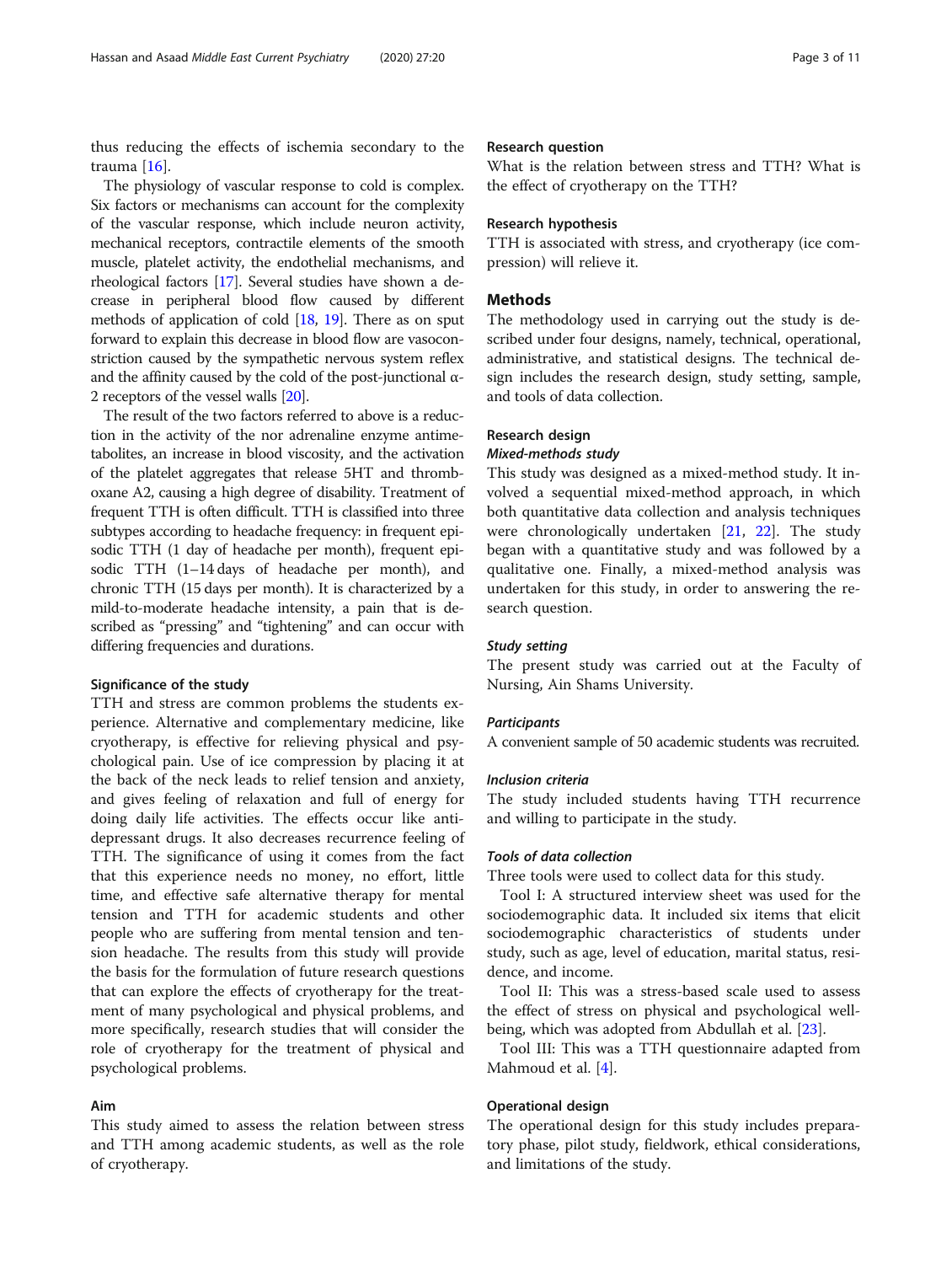thus reducing the effects of ischemia secondary to the trauma [[16\]](#page-9-0).

The physiology of vascular response to cold is complex. Six factors or mechanisms can account for the complexity of the vascular response, which include neuron activity, mechanical receptors, contractile elements of the smooth muscle, platelet activity, the endothelial mechanisms, and rheological factors [\[17](#page-9-0)]. Several studies have shown a decrease in peripheral blood flow caused by different methods of application of cold [\[18](#page-9-0), [19](#page-9-0)]. There as on sput forward to explain this decrease in blood flow are vasoconstriction caused by the sympathetic nervous system reflex and the affinity caused by the cold of the post-junctional  $\alpha$ -2 receptors of the vessel walls [\[20](#page-9-0)].

The result of the two factors referred to above is a reduction in the activity of the nor adrenaline enzyme antimetabolites, an increase in blood viscosity, and the activation of the platelet aggregates that release 5HT and thromboxane A2, causing a high degree of disability. Treatment of frequent TTH is often difficult. TTH is classified into three subtypes according to headache frequency: in frequent episodic TTH (1 day of headache per month), frequent episodic TTH (1–14 days of headache per month), and chronic TTH (15 days per month). It is characterized by a mild-to-moderate headache intensity, a pain that is described as "pressing" and "tightening" and can occur with differing frequencies and durations.

#### Significance of the study

TTH and stress are common problems the students experience. Alternative and complementary medicine, like cryotherapy, is effective for relieving physical and psychological pain. Use of ice compression by placing it at the back of the neck leads to relief tension and anxiety, and gives feeling of relaxation and full of energy for doing daily life activities. The effects occur like antidepressant drugs. It also decreases recurrence feeling of TTH. The significance of using it comes from the fact that this experience needs no money, no effort, little time, and effective safe alternative therapy for mental tension and TTH for academic students and other people who are suffering from mental tension and tension headache. The results from this study will provide the basis for the formulation of future research questions that can explore the effects of cryotherapy for the treatment of many psychological and physical problems, and more specifically, research studies that will consider the role of cryotherapy for the treatment of physical and psychological problems.

#### Aim

This study aimed to assess the relation between stress and TTH among academic students, as well as the role of cryotherapy.

#### Research question

What is the relation between stress and TTH? What is the effect of cryotherapy on the TTH?

#### Research hypothesis

TTH is associated with stress, and cryotherapy (ice compression) will relieve it.

#### Methods

The methodology used in carrying out the study is described under four designs, namely, technical, operational, administrative, and statistical designs. The technical design includes the research design, study setting, sample, and tools of data collection.

#### Research design

#### Mixed-methods study

This study was designed as a mixed-method study. It involved a sequential mixed-method approach, in which both quantitative data collection and analysis techniques were chronologically undertaken [[21](#page-9-0), [22\]](#page-9-0). The study began with a quantitative study and was followed by a qualitative one. Finally, a mixed-method analysis was undertaken for this study, in order to answering the research question.

#### Study setting

The present study was carried out at the Faculty of Nursing, Ain Shams University.

#### **Participants**

A convenient sample of 50 academic students was recruited.

#### Inclusion criteria

The study included students having TTH recurrence and willing to participate in the study.

#### Tools of data collection

Three tools were used to collect data for this study.

Tool I: A structured interview sheet was used for the sociodemographic data. It included six items that elicit sociodemographic characteristics of students under study, such as age, level of education, marital status, residence, and income.

Tool II: This was a stress-based scale used to assess the effect of stress on physical and psychological wellbeing, which was adopted from Abdullah et al. [[23\]](#page-9-0).

Tool III: This was a TTH questionnaire adapted from Mahmoud et al. [\[4\]](#page-9-0).

#### Operational design

The operational design for this study includes preparatory phase, pilot study, fieldwork, ethical considerations, and limitations of the study.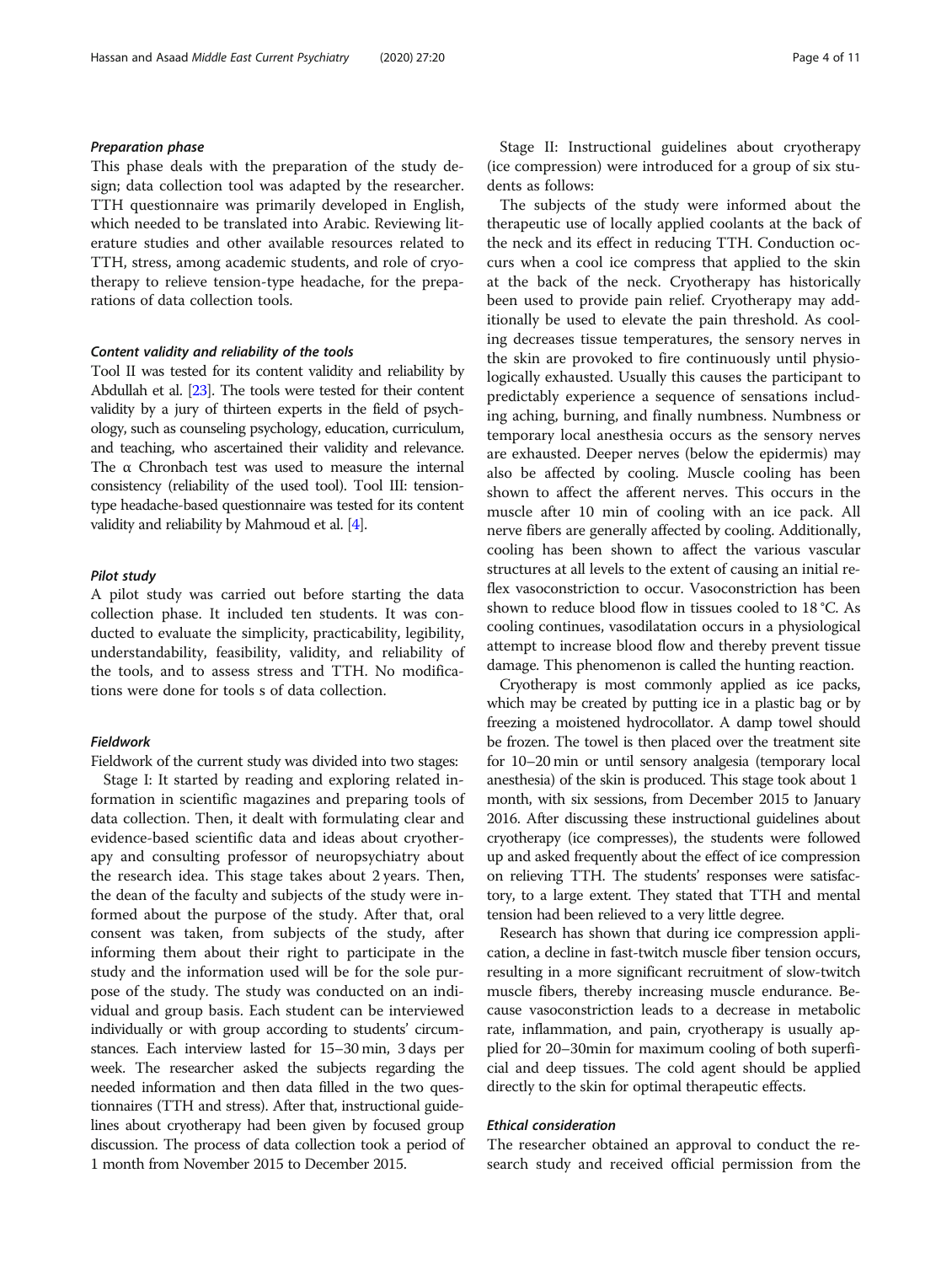#### Preparation phase

This phase deals with the preparation of the study design; data collection tool was adapted by the researcher. TTH questionnaire was primarily developed in English, which needed to be translated into Arabic. Reviewing literature studies and other available resources related to TTH, stress, among academic students, and role of cryotherapy to relieve tension-type headache, for the preparations of data collection tools.

#### Content validity and reliability of the tools

Tool II was tested for its content validity and reliability by Abdullah et al. [\[23\]](#page-9-0). The tools were tested for their content validity by a jury of thirteen experts in the field of psychology, such as counseling psychology, education, curriculum, and teaching, who ascertained their validity and relevance. The α Chronbach test was used to measure the internal consistency (reliability of the used tool). Tool III: tensiontype headache-based questionnaire was tested for its content validity and reliability by Mahmoud et al. [\[4\]](#page-9-0).

#### Pilot study

A pilot study was carried out before starting the data collection phase. It included ten students. It was conducted to evaluate the simplicity, practicability, legibility, understandability, feasibility, validity, and reliability of the tools, and to assess stress and TTH. No modifications were done for tools s of data collection.

#### Fieldwork

Fieldwork of the current study was divided into two stages: Stage I: It started by reading and exploring related information in scientific magazines and preparing tools of data collection. Then, it dealt with formulating clear and evidence-based scientific data and ideas about cryotherapy and consulting professor of neuropsychiatry about the research idea. This stage takes about 2 years. Then, the dean of the faculty and subjects of the study were informed about the purpose of the study. After that, oral consent was taken, from subjects of the study, after informing them about their right to participate in the study and the information used will be for the sole purpose of the study. The study was conducted on an individual and group basis. Each student can be interviewed individually or with group according to students' circumstances. Each interview lasted for 15–30 min, 3 days per week. The researcher asked the subjects regarding the needed information and then data filled in the two questionnaires (TTH and stress). After that, instructional guidelines about cryotherapy had been given by focused group discussion. The process of data collection took a period of 1 month from November 2015 to December 2015.

Stage II: Instructional guidelines about cryotherapy (ice compression) were introduced for a group of six students as follows:

The subjects of the study were informed about the therapeutic use of locally applied coolants at the back of the neck and its effect in reducing TTH. Conduction occurs when a cool ice compress that applied to the skin at the back of the neck. Cryotherapy has historically been used to provide pain relief. Cryotherapy may additionally be used to elevate the pain threshold. As cooling decreases tissue temperatures, the sensory nerves in the skin are provoked to fire continuously until physiologically exhausted. Usually this causes the participant to predictably experience a sequence of sensations including aching, burning, and finally numbness. Numbness or temporary local anesthesia occurs as the sensory nerves are exhausted. Deeper nerves (below the epidermis) may also be affected by cooling. Muscle cooling has been shown to affect the afferent nerves. This occurs in the muscle after 10 min of cooling with an ice pack. All nerve fibers are generally affected by cooling. Additionally, cooling has been shown to affect the various vascular structures at all levels to the extent of causing an initial reflex vasoconstriction to occur. Vasoconstriction has been shown to reduce blood flow in tissues cooled to 18 °C. As cooling continues, vasodilatation occurs in a physiological attempt to increase blood flow and thereby prevent tissue damage. This phenomenon is called the hunting reaction.

Cryotherapy is most commonly applied as ice packs, which may be created by putting ice in a plastic bag or by freezing a moistened hydrocollator. A damp towel should be frozen. The towel is then placed over the treatment site for 10–20 min or until sensory analgesia (temporary local anesthesia) of the skin is produced. This stage took about 1 month, with six sessions, from December 2015 to January 2016. After discussing these instructional guidelines about cryotherapy (ice compresses), the students were followed up and asked frequently about the effect of ice compression on relieving TTH. The students' responses were satisfactory, to a large extent. They stated that TTH and mental tension had been relieved to a very little degree.

Research has shown that during ice compression application, a decline in fast-twitch muscle fiber tension occurs, resulting in a more significant recruitment of slow-twitch muscle fibers, thereby increasing muscle endurance. Because vasoconstriction leads to a decrease in metabolic rate, inflammation, and pain, cryotherapy is usually applied for 20–30min for maximum cooling of both superficial and deep tissues. The cold agent should be applied directly to the skin for optimal therapeutic effects.

#### Ethical consideration

The researcher obtained an approval to conduct the research study and received official permission from the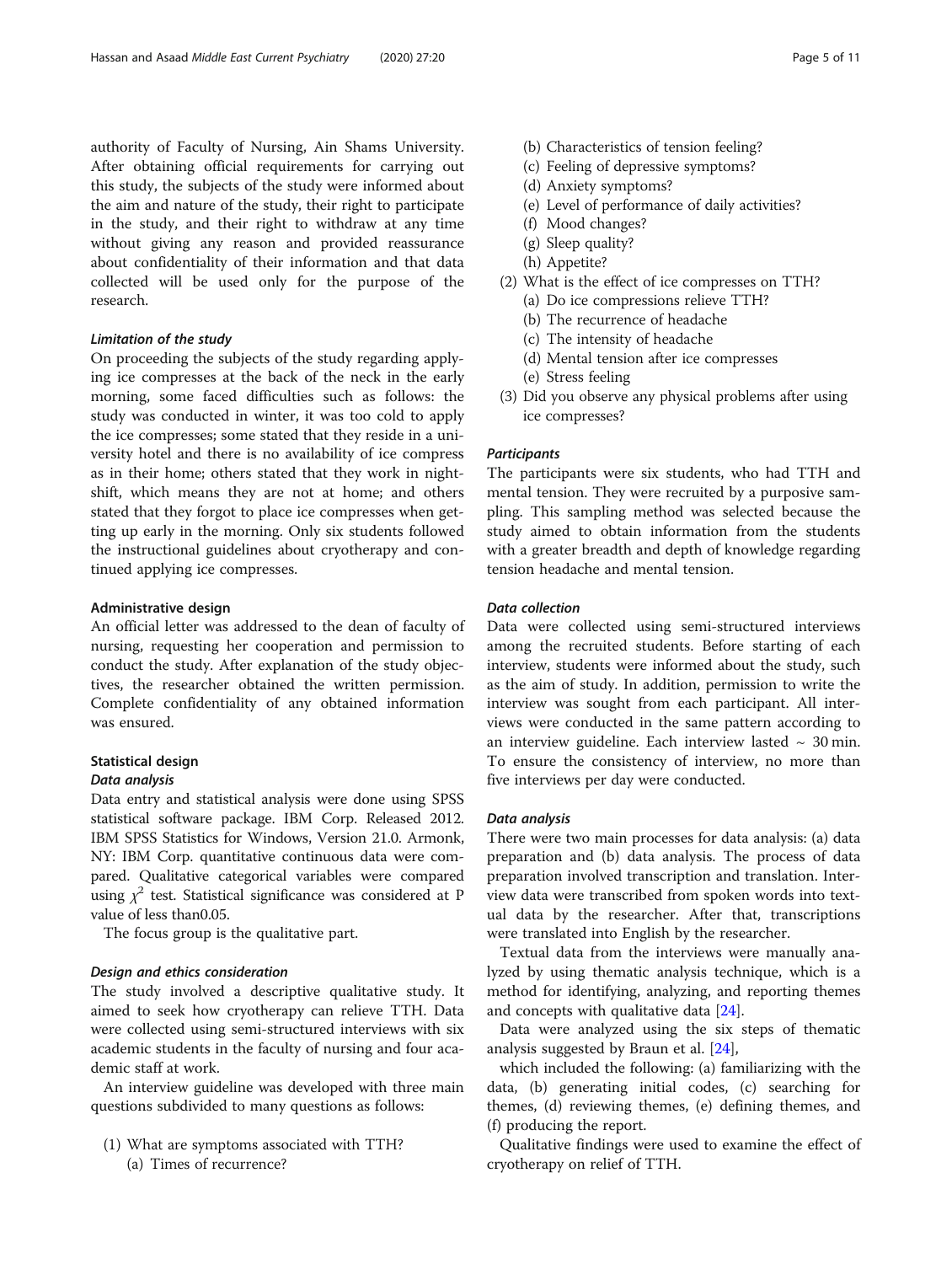authority of Faculty of Nursing, Ain Shams University. After obtaining official requirements for carrying out this study, the subjects of the study were informed about the aim and nature of the study, their right to participate in the study, and their right to withdraw at any time without giving any reason and provided reassurance about confidentiality of their information and that data collected will be used only for the purpose of the research.

#### Limitation of the study

On proceeding the subjects of the study regarding applying ice compresses at the back of the neck in the early morning, some faced difficulties such as follows: the study was conducted in winter, it was too cold to apply the ice compresses; some stated that they reside in a university hotel and there is no availability of ice compress as in their home; others stated that they work in nightshift, which means they are not at home; and others stated that they forgot to place ice compresses when getting up early in the morning. Only six students followed the instructional guidelines about cryotherapy and continued applying ice compresses.

#### Administrative design

An official letter was addressed to the dean of faculty of nursing, requesting her cooperation and permission to conduct the study. After explanation of the study objectives, the researcher obtained the written permission. Complete confidentiality of any obtained information was ensured.

#### Statistical design

#### Data analysis

Data entry and statistical analysis were done using SPSS statistical software package. IBM Corp. Released 2012. IBM SPSS Statistics for Windows, Version 21.0. Armonk, NY: IBM Corp. quantitative continuous data were compared. Qualitative categorical variables were compared using  $\chi^2$  test. Statistical significance was considered at P value of less than0.05.

The focus group is the qualitative part.

#### Design and ethics consideration

The study involved a descriptive qualitative study. It aimed to seek how cryotherapy can relieve TTH. Data were collected using semi-structured interviews with six academic students in the faculty of nursing and four academic staff at work.

An interview guideline was developed with three main questions subdivided to many questions as follows:

(1) What are symptoms associated with TTH? (a) Times of recurrence?

- (b) Characteristics of tension feeling?
- (c) Feeling of depressive symptoms?
- (d) Anxiety symptoms?
- (e) Level of performance of daily activities?
- (f) Mood changes?
- (g) Sleep quality?
- (h) Appetite?
- (2) What is the effect of ice compresses on TTH?
	- (a) Do ice compressions relieve TTH?
	- (b) The recurrence of headache
	- (c) The intensity of headache
	- (d) Mental tension after ice compresses
	- (e) Stress feeling
- (3) Did you observe any physical problems after using ice compresses?

#### **Participants**

The participants were six students, who had TTH and mental tension. They were recruited by a purposive sampling. This sampling method was selected because the study aimed to obtain information from the students with a greater breadth and depth of knowledge regarding tension headache and mental tension.

#### Data collection

Data were collected using semi-structured interviews among the recruited students. Before starting of each interview, students were informed about the study, such as the aim of study. In addition, permission to write the interview was sought from each participant. All interviews were conducted in the same pattern according to an interview guideline. Each interview lasted  $\sim$  30 min. To ensure the consistency of interview, no more than five interviews per day were conducted.

#### Data analysis

There were two main processes for data analysis: (a) data preparation and (b) data analysis. The process of data preparation involved transcription and translation. Interview data were transcribed from spoken words into textual data by the researcher. After that, transcriptions were translated into English by the researcher.

Textual data from the interviews were manually analyzed by using thematic analysis technique, which is a method for identifying, analyzing, and reporting themes and concepts with qualitative data [[24\]](#page-9-0).

Data were analyzed using the six steps of thematic analysis suggested by Braun et al. [\[24\]](#page-9-0),

which included the following: (a) familiarizing with the data, (b) generating initial codes, (c) searching for themes, (d) reviewing themes, (e) defining themes, and (f) producing the report.

Qualitative findings were used to examine the effect of cryotherapy on relief of TTH.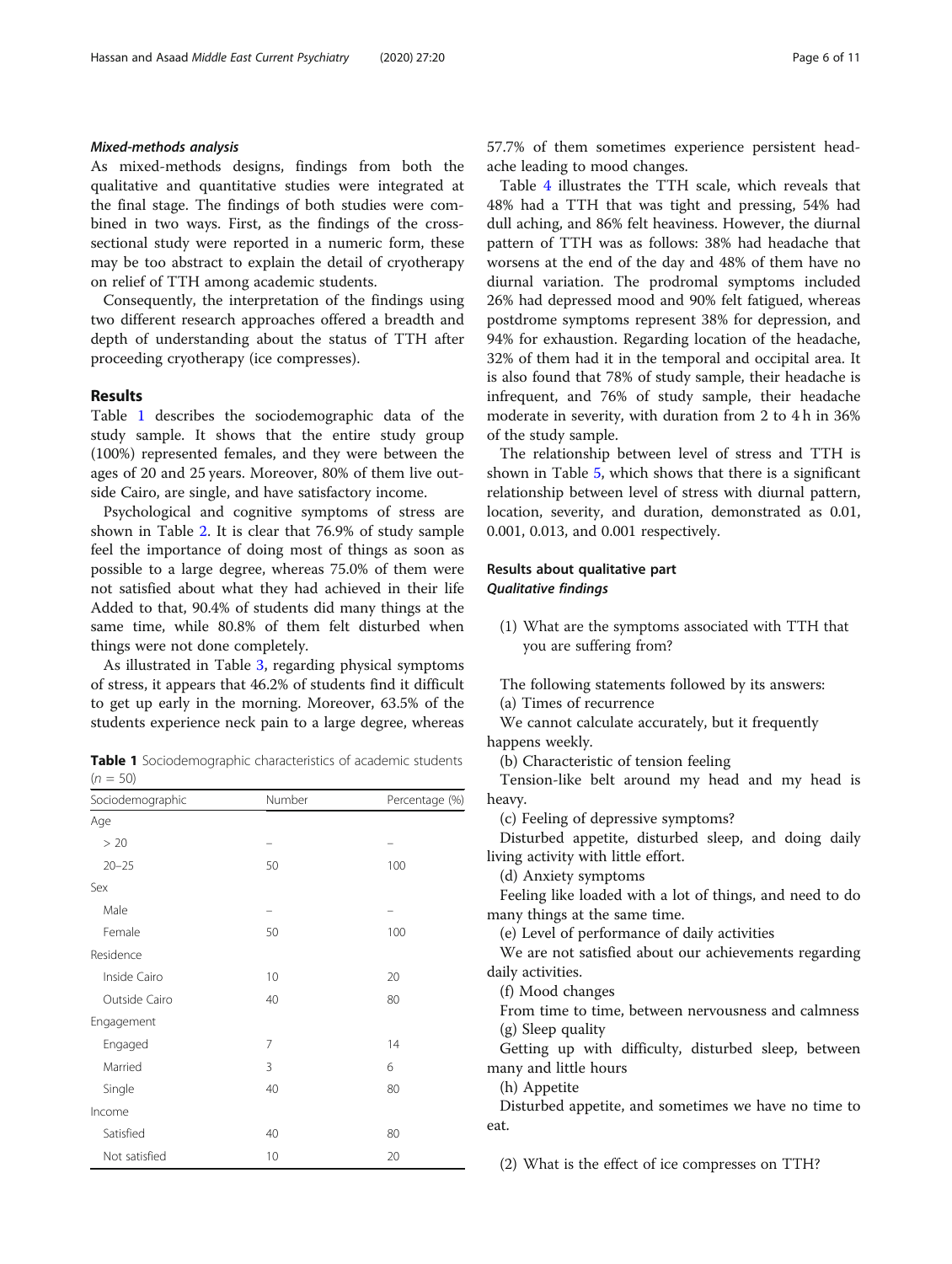#### Mixed-methods analysis

As mixed-methods designs, findings from both the qualitative and quantitative studies were integrated at the final stage. The findings of both studies were combined in two ways. First, as the findings of the crosssectional study were reported in a numeric form, these may be too abstract to explain the detail of cryotherapy on relief of TTH among academic students.

Consequently, the interpretation of the findings using two different research approaches offered a breadth and depth of understanding about the status of TTH after proceeding cryotherapy (ice compresses).

#### Results

Table 1 describes the sociodemographic data of the study sample. It shows that the entire study group (100%) represented females, and they were between the ages of 20 and 25 years. Moreover, 80% of them live outside Cairo, are single, and have satisfactory income.

Psychological and cognitive symptoms of stress are shown in Table [2.](#page-6-0) It is clear that 76.9% of study sample feel the importance of doing most of things as soon as possible to a large degree, whereas 75.0% of them were not satisfied about what they had achieved in their life Added to that, 90.4% of students did many things at the same time, while 80.8% of them felt disturbed when things were not done completely.

As illustrated in Table [3](#page-6-0), regarding physical symptoms of stress, it appears that 46.2% of students find it difficult to get up early in the morning. Moreover, 63.5% of the students experience neck pain to a large degree, whereas

Table 1 Sociodemographic characteristics of academic students  $(n = 50)$ 

| Sociodemographic | Number | Percentage (%) |  |  |
|------------------|--------|----------------|--|--|
| Age              |        |                |  |  |
| > 20             |        |                |  |  |
| $20 - 25$        | 50     | 100            |  |  |
| Sex              |        |                |  |  |
| Male             |        |                |  |  |
| Female           | 50     | 100            |  |  |
| Residence        |        |                |  |  |
| Inside Cairo     | 10     | 20             |  |  |
| Outside Cairo    | 40     | 80             |  |  |
| Engagement       |        |                |  |  |
| Engaged          | 7      | 14             |  |  |
| Married          | 3      | 6              |  |  |
| Single           | 40     | 80             |  |  |
| Income           |        |                |  |  |
| Satisfied        | 40     | 80             |  |  |
| Not satisfied    | 10     | 20             |  |  |

57.7% of them sometimes experience persistent headache leading to mood changes.

Table [4](#page-7-0) illustrates the TTH scale, which reveals that 48% had a TTH that was tight and pressing, 54% had dull aching, and 86% felt heaviness. However, the diurnal pattern of TTH was as follows: 38% had headache that worsens at the end of the day and 48% of them have no diurnal variation. The prodromal symptoms included 26% had depressed mood and 90% felt fatigued, whereas postdrome symptoms represent 38% for depression, and 94% for exhaustion. Regarding location of the headache, 32% of them had it in the temporal and occipital area. It is also found that 78% of study sample, their headache is infrequent, and 76% of study sample, their headache moderate in severity, with duration from 2 to 4 h in 36% of the study sample.

The relationship between level of stress and TTH is shown in Table [5](#page-7-0), which shows that there is a significant relationship between level of stress with diurnal pattern, location, severity, and duration, demonstrated as 0.01, 0.001, 0.013, and 0.001 respectively.

#### Results about qualitative part Qualitative findings

- (1) What are the symptoms associated with TTH that you are suffering from?
- The following statements followed by its answers: (a) Times of recurrence

We cannot calculate accurately, but it frequently happens weekly.

(b) Characteristic of tension feeling

Tension-like belt around my head and my head is heavy.

(c) Feeling of depressive symptoms?

Disturbed appetite, disturbed sleep, and doing daily living activity with little effort.

(d) Anxiety symptoms

Feeling like loaded with a lot of things, and need to do many things at the same time.

(e) Level of performance of daily activities

We are not satisfied about our achievements regarding daily activities.

(f) Mood changes

From time to time, between nervousness and calmness (g) Sleep quality

Getting up with difficulty, disturbed sleep, between many and little hours

(h) Appetite

Disturbed appetite, and sometimes we have no time to eat.

(2) What is the effect of ice compresses on TTH?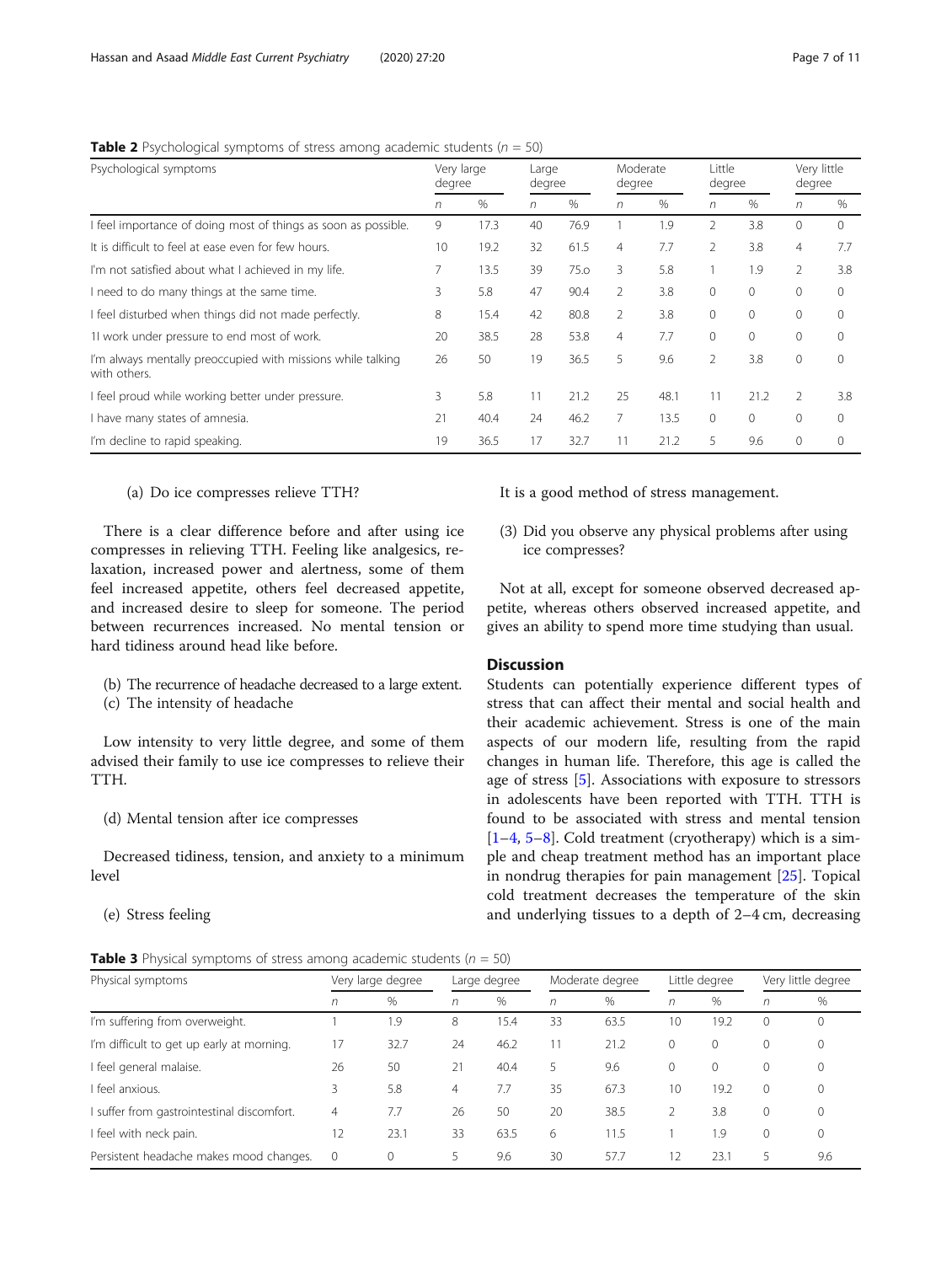| Psychological symptoms                                                      | Very large<br>degree |      | Large<br>degree |      | Moderate<br>degree |      | Little<br>degree |          | Very little<br>degree |                |
|-----------------------------------------------------------------------------|----------------------|------|-----------------|------|--------------------|------|------------------|----------|-----------------------|----------------|
|                                                                             | n                    | $\%$ | n               | $\%$ | n                  | %    | n                | $\%$     | n                     | $\%$           |
| I feel importance of doing most of things as soon as possible.              | 9                    | 17.3 | 40              | 76.9 |                    | 1.9  | $\mathfrak{D}$   | 3.8      | $\Omega$              | $\Omega$       |
| It is difficult to feel at ease even for few hours.                         | 10                   | 19.2 | 32              | 61.5 | $\overline{4}$     | 7.7  | 2                | 3.8      | $\overline{4}$        | 7.7            |
| I'm not satisfied about what I achieved in my life.                         | 7                    | 13.5 | 39              | 75.0 | 3                  | 5.8  |                  | 1.9      | $\overline{2}$        | 3.8            |
| I need to do many things at the same time.                                  | 3                    | 5.8  | 47              | 90.4 | 2                  | 3.8  | $\Omega$         | $\Omega$ | $\Omega$              | $\mathbf 0$    |
| I feel disturbed when things did not made perfectly.                        | 8                    | 15.4 | 42              | 80.8 | 2                  | 3.8  | $\Omega$         | $\Omega$ | $\mathbf{0}$          | $\mathbf{0}$   |
| 11 work under pressure to end most of work.                                 | 20                   | 38.5 | 28              | 53.8 | $\overline{4}$     | 7.7  | $\mathbf{0}$     | $\circ$  | $\mathbf{0}$          | $\mathbf{0}$   |
| I'm always mentally preoccupied with missions while talking<br>with others. | 26                   | 50   | 19              | 36.5 | 5                  | 9.6  | $\overline{2}$   | 3.8      | $\mathbf{0}$          | $\Omega$       |
| I feel proud while working better under pressure.                           | 3                    | 5.8  | 11              | 21.2 | 25                 | 48.1 | 11               | 21.2     | $\mathcal{P}$         | 3.8            |
| I have many states of amnesia.                                              | 21                   | 40.4 | 24              | 46.2 | 7                  | 13.5 | $\Omega$         | $\Omega$ | $\Omega$              | $\overline{0}$ |
| I'm decline to rapid speaking.                                              | 19                   | 36.5 | 17              | 32.7 | 11                 | 21.2 | 5                | 9.6      | $\mathbf{0}$          | $\Omega$       |

<span id="page-6-0"></span>**Table 2** Psychological symptoms of stress among academic students ( $n = 50$ )

(a) Do ice compresses relieve TTH?

There is a clear difference before and after using ice compresses in relieving TTH. Feeling like analgesics, relaxation, increased power and alertness, some of them feel increased appetite, others feel decreased appetite, and increased desire to sleep for someone. The period between recurrences increased. No mental tension or hard tidiness around head like before.

- (b) The recurrence of headache decreased to a large extent.
- (c) The intensity of headache

Low intensity to very little degree, and some of them advised their family to use ice compresses to relieve their TTH.

(d) Mental tension after ice compresses

Decreased tidiness, tension, and anxiety to a minimum level

(e) Stress feeling

| <b>Table 3</b> Physical symptoms of stress among academic students ( $n = 50$ ) |  |  |  |
|---------------------------------------------------------------------------------|--|--|--|
|---------------------------------------------------------------------------------|--|--|--|

It is a good method of stress management.

(3) Did you observe any physical problems after using ice compresses?

Not at all, except for someone observed decreased appetite, whereas others observed increased appetite, and gives an ability to spend more time studying than usual.

#### **Discussion**

Students can potentially experience different types of stress that can affect their mental and social health and their academic achievement. Stress is one of the main aspects of our modern life, resulting from the rapid changes in human life. Therefore, this age is called the age of stress [\[5](#page-9-0)]. Associations with exposure to stressors in adolescents have been reported with TTH. TTH is found to be associated with stress and mental tension  $[1-4, 5-8]$  $[1-4, 5-8]$  $[1-4, 5-8]$  $[1-4, 5-8]$  $[1-4, 5-8]$  $[1-4, 5-8]$  $[1-4, 5-8]$  $[1-4, 5-8]$ . Cold treatment (cryotherapy) which is a simple and cheap treatment method has an important place in nondrug therapies for pain management [\[25](#page-10-0)]. Topical cold treatment decreases the temperature of the skin and underlying tissues to a depth of 2–4 cm, decreasing

| Physical symptoms                         | Very large degree |               | Large degree |      | Moderate degree |      | Little degree |              | Very little degree |              |
|-------------------------------------------|-------------------|---------------|--------------|------|-----------------|------|---------------|--------------|--------------------|--------------|
|                                           | n                 | $\frac{0}{0}$ | $\sqrt{n}$   | $\%$ | n               | $\%$ | n             | $\%$         | n                  | $\%$         |
| I'm suffering from overweight.            |                   | 1.9           | 8            | 15.4 | 33              | 63.5 | 10            | 19.2         | $\Omega$           | $\Omega$     |
| I'm difficult to get up early at morning. | 17                | 32.7          | 24           | 46.2 |                 | 21.2 | $\circ$       | 0            | 0                  | $\mathbf{0}$ |
| feel general malaise.                     | 26                | 50            | 21           | 40.4 | 5               | 9.6  | $\circ$       | $\mathbf{0}$ | 0                  | $\mathbf{0}$ |
| feel anxious.                             | 3                 | 5.8           | 4            | 7.7  | 35              | 67.3 | 10            | 19.2         | $\Omega$           | $\mathbf{0}$ |
| suffer from gastrointestinal discomfort.  | 4                 | 7.7           | 26           | 50   | 20              | 38.5 |               | 3.8          | $\Omega$           | $\mathbf{0}$ |
| feel with neck pain.                      | 12                | 23.1          | 33           | 63.5 | 6               | 11.5 |               | 1.9          | $\Omega$           | $\Omega$     |
| Persistent headache makes mood changes.   | $\mathbf 0$       | 0             | 5            | 9.6  | 30              | 57.7 | 12            | 23.1         | 5                  | 9.6          |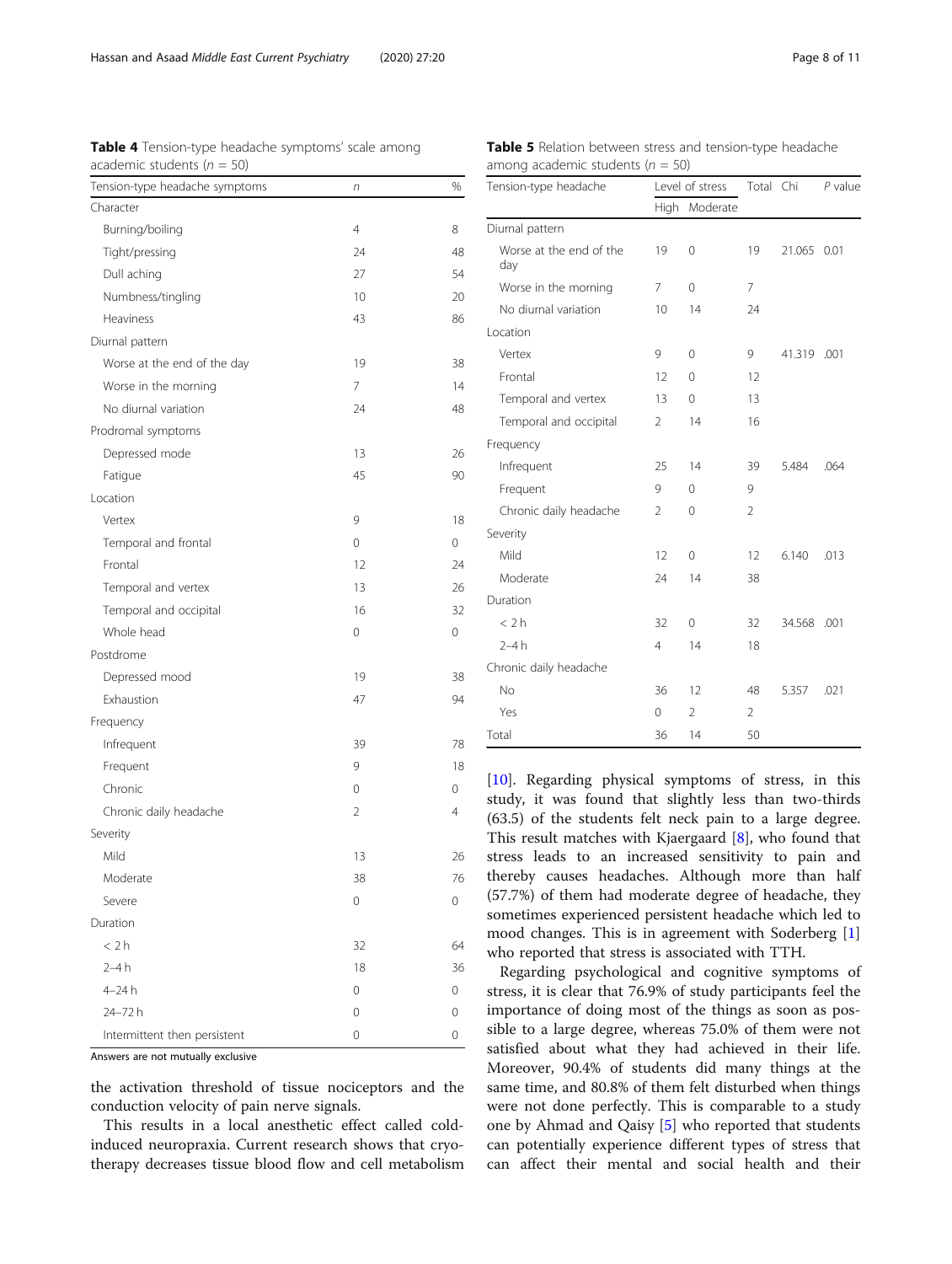<span id="page-7-0"></span>Table 4 Tension-type headache symptoms' scale among academic students  $(n = 50)$ 

| Tension-type headache symptoms     | n              | %              |
|------------------------------------|----------------|----------------|
| Character                          |                |                |
| Burning/boiling                    | 4              | 8              |
| Tight/pressing                     | 24             | 48             |
| Dull aching                        | 27             | 54             |
| Numbness/tingling                  | 10             | 20             |
| Heaviness                          | 43             | 86             |
| Diurnal pattern                    |                |                |
| Worse at the end of the day        | 19             | 38             |
| Worse in the morning               | 7              | 14             |
| No diurnal variation               | 24             | 48             |
| Prodromal symptoms                 |                |                |
| Depressed mode                     | 13             | 26             |
| Fatigue                            | 45             | 90             |
| Location                           |                |                |
| Vertex                             | 9              | 18             |
| Temporal and frontal               | 0              | 0              |
| Frontal                            | 12             | 24             |
| Temporal and vertex                | 13             | 26             |
| Temporal and occipital             | 16             | 32             |
| Whole head                         | 0              | 0              |
| Postdrome                          |                |                |
| Depressed mood                     | 19             | 38             |
| Exhaustion                         | 47             | 94             |
| Frequency                          |                |                |
| Infrequent                         | 39             | 78             |
| Frequent                           | 9              | 18             |
| Chronic                            | 0              | 0              |
| Chronic daily headache             | $\overline{2}$ | $\overline{4}$ |
| Severity                           |                |                |
| Mild                               | 13             | 26             |
| Moderate                           | 38             | 76             |
| Severe                             | $\mathcal O$   | 0              |
| Duration                           |                |                |
| < 2 h                              | 32             | 64             |
| $2 - 4h$                           | 18             | 36             |
| 4-24h                              | 0              | 0              |
| 24-72h                             | 0              | 0              |
| Intermittent then persistent       | 0              | 0              |
| Answers are not mutually exclusive |                |                |

the activation threshold of tissue nociceptors and the conduction velocity of pain nerve signals.

This results in a local anesthetic effect called coldinduced neuropraxia. Current research shows that cryotherapy decreases tissue blood flow and cell metabolism

Table 5 Relation between stress and tension-type headache among academic students ( $n = 50$ )

|                |                |                 |       | $P$ value                                              |  |
|----------------|----------------|-----------------|-------|--------------------------------------------------------|--|
| High           | Moderate       |                 |       |                                                        |  |
|                |                |                 |       |                                                        |  |
| 19             | 0              | 19              |       |                                                        |  |
| 7              | 0              | $\overline{7}$  |       |                                                        |  |
| 10             | 14             | 24              |       |                                                        |  |
|                |                |                 |       |                                                        |  |
| 9              | $\mathbf{0}$   | 9               |       |                                                        |  |
| 12             | $\Omega$       | 12              |       |                                                        |  |
| 13             | $\mathbf{0}$   | 13              |       |                                                        |  |
| $\overline{2}$ | 14             | 16              |       |                                                        |  |
|                |                |                 |       |                                                        |  |
| 25             | 14             | 39              | 5.484 | .064                                                   |  |
| 9              | 0              | 9               |       |                                                        |  |
| $\mathfrak{D}$ | 0              | $\overline{2}$  |       |                                                        |  |
|                |                |                 |       |                                                        |  |
| 12             | 0              | 12              | 6.140 | .013                                                   |  |
| 24             | 14             | 38              |       |                                                        |  |
|                |                |                 |       |                                                        |  |
| 32             | $\mathbf{0}$   | 32              |       |                                                        |  |
| $\overline{4}$ | 14             | 18              |       |                                                        |  |
|                |                |                 |       |                                                        |  |
| 36             | 12             | 48              | 5.357 | .021                                                   |  |
| 0              | $\overline{2}$ | $\overline{2}$  |       |                                                        |  |
| 36             | 14             | 50              |       |                                                        |  |
|                |                | Level of stress |       | Total Chi<br>21.065 0.01<br>41.319 .001<br>34.568 .001 |  |

[[10\]](#page-9-0). Regarding physical symptoms of stress, in this study, it was found that slightly less than two-thirds (63.5) of the students felt neck pain to a large degree. This result matches with Kjaergaard [\[8](#page-9-0)], who found that stress leads to an increased sensitivity to pain and thereby causes headaches. Although more than half (57.7%) of them had moderate degree of headache, they sometimes experienced persistent headache which led to mood changes. This is in agreement with Soderberg [\[1](#page-9-0)] who reported that stress is associated with TTH.

Regarding psychological and cognitive symptoms of stress, it is clear that 76.9% of study participants feel the importance of doing most of the things as soon as possible to a large degree, whereas 75.0% of them were not satisfied about what they had achieved in their life. Moreover, 90.4% of students did many things at the same time, and 80.8% of them felt disturbed when things were not done perfectly. This is comparable to a study one by Ahmad and Qaisy [[5\]](#page-9-0) who reported that students can potentially experience different types of stress that can affect their mental and social health and their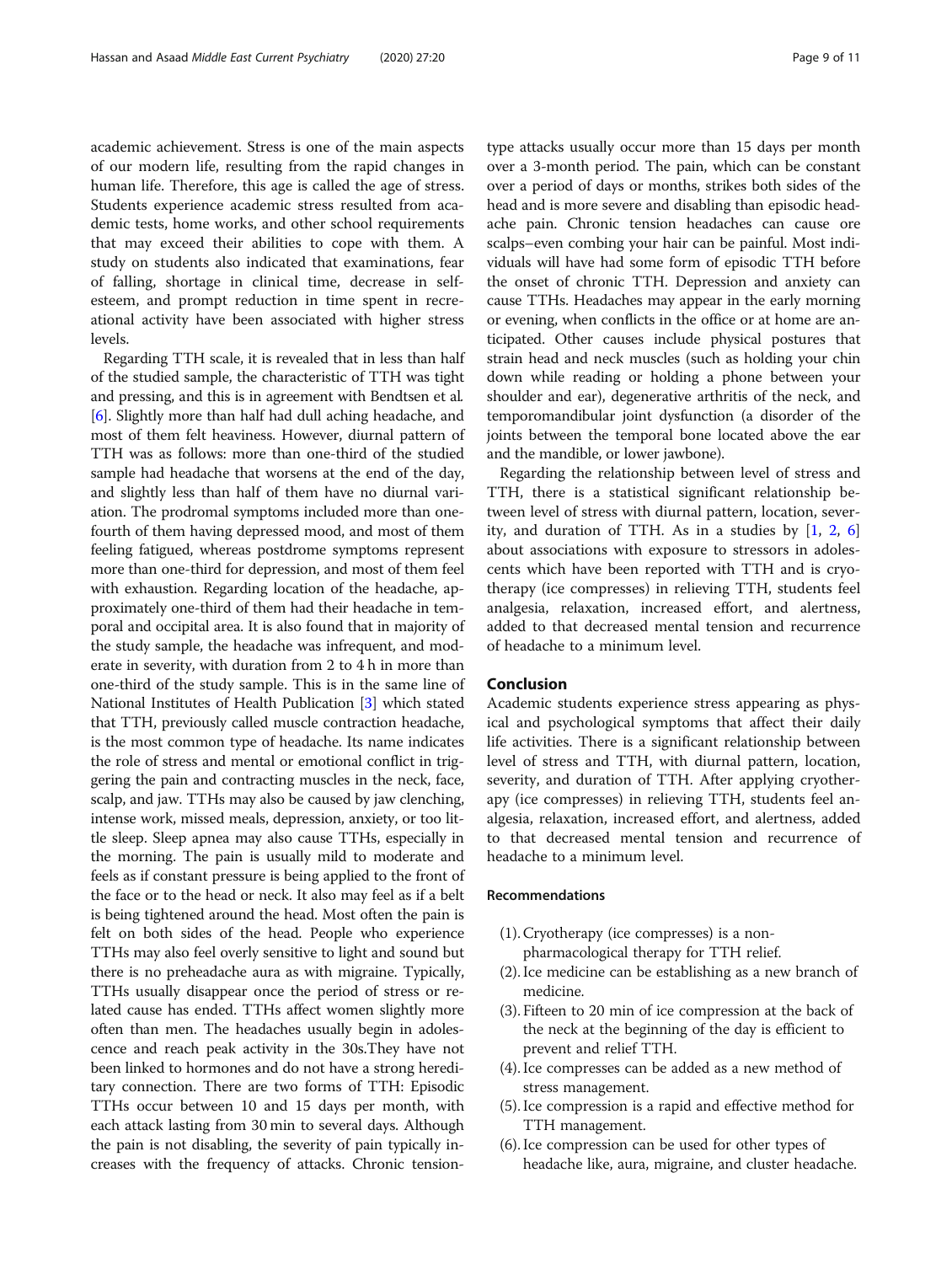academic achievement. Stress is one of the main aspects of our modern life, resulting from the rapid changes in human life. Therefore, this age is called the age of stress. Students experience academic stress resulted from academic tests, home works, and other school requirements that may exceed their abilities to cope with them. A study on students also indicated that examinations, fear of falling, shortage in clinical time, decrease in selfesteem, and prompt reduction in time spent in recreational activity have been associated with higher stress levels.

Regarding TTH scale, it is revealed that in less than half of the studied sample, the characteristic of TTH was tight and pressing, and this is in agreement with Bendtsen et al. [[6\]](#page-9-0). Slightly more than half had dull aching headache, and most of them felt heaviness. However, diurnal pattern of TTH was as follows: more than one-third of the studied sample had headache that worsens at the end of the day, and slightly less than half of them have no diurnal variation. The prodromal symptoms included more than onefourth of them having depressed mood, and most of them feeling fatigued, whereas postdrome symptoms represent more than one-third for depression, and most of them feel with exhaustion. Regarding location of the headache, approximately one-third of them had their headache in temporal and occipital area. It is also found that in majority of the study sample, the headache was infrequent, and moderate in severity, with duration from 2 to 4 h in more than one-third of the study sample. This is in the same line of National Institutes of Health Publication [\[3\]](#page-9-0) which stated that TTH, previously called muscle contraction headache, is the most common type of headache. Its name indicates the role of stress and mental or emotional conflict in triggering the pain and contracting muscles in the neck, face, scalp, and jaw. TTHs may also be caused by jaw clenching, intense work, missed meals, depression, anxiety, or too little sleep. Sleep apnea may also cause TTHs, especially in the morning. The pain is usually mild to moderate and feels as if constant pressure is being applied to the front of the face or to the head or neck. It also may feel as if a belt is being tightened around the head. Most often the pain is felt on both sides of the head. People who experience TTHs may also feel overly sensitive to light and sound but there is no preheadache aura as with migraine. Typically, TTHs usually disappear once the period of stress or related cause has ended. TTHs affect women slightly more often than men. The headaches usually begin in adolescence and reach peak activity in the 30s.They have not been linked to hormones and do not have a strong hereditary connection. There are two forms of TTH: Episodic TTHs occur between 10 and 15 days per month, with each attack lasting from 30 min to several days. Although the pain is not disabling, the severity of pain typically increases with the frequency of attacks. Chronic tensiontype attacks usually occur more than 15 days per month over a 3-month period. The pain, which can be constant over a period of days or months, strikes both sides of the head and is more severe and disabling than episodic headache pain. Chronic tension headaches can cause ore scalps–even combing your hair can be painful. Most individuals will have had some form of episodic TTH before the onset of chronic TTH. Depression and anxiety can cause TTHs. Headaches may appear in the early morning or evening, when conflicts in the office or at home are anticipated. Other causes include physical postures that strain head and neck muscles (such as holding your chin down while reading or holding a phone between your shoulder and ear), degenerative arthritis of the neck, and temporomandibular joint dysfunction (a disorder of the joints between the temporal bone located above the ear and the mandible, or lower jawbone).

Regarding the relationship between level of stress and TTH, there is a statistical significant relationship between level of stress with diurnal pattern, location, severity, and duration of TTH. As in a studies by [\[1](#page-9-0), [2,](#page-9-0) [6](#page-9-0)] about associations with exposure to stressors in adolescents which have been reported with TTH and is cryotherapy (ice compresses) in relieving TTH, students feel analgesia, relaxation, increased effort, and alertness, added to that decreased mental tension and recurrence of headache to a minimum level.

#### Conclusion

Academic students experience stress appearing as physical and psychological symptoms that affect their daily life activities. There is a significant relationship between level of stress and TTH, with diurnal pattern, location, severity, and duration of TTH. After applying cryotherapy (ice compresses) in relieving TTH, students feel analgesia, relaxation, increased effort, and alertness, added to that decreased mental tension and recurrence of headache to a minimum level.

#### Recommendations

- (1). Cryotherapy (ice compresses) is a non-
- pharmacological therapy for TTH relief.
- (2). Ice medicine can be establishing as a new branch of medicine.
- (3). Fifteen to 20 min of ice compression at the back of the neck at the beginning of the day is efficient to prevent and relief TTH.
- (4). Ice compresses can be added as a new method of stress management.
- (5). Ice compression is a rapid and effective method for TTH management.
- (6). Ice compression can be used for other types of headache like, aura, migraine, and cluster headache.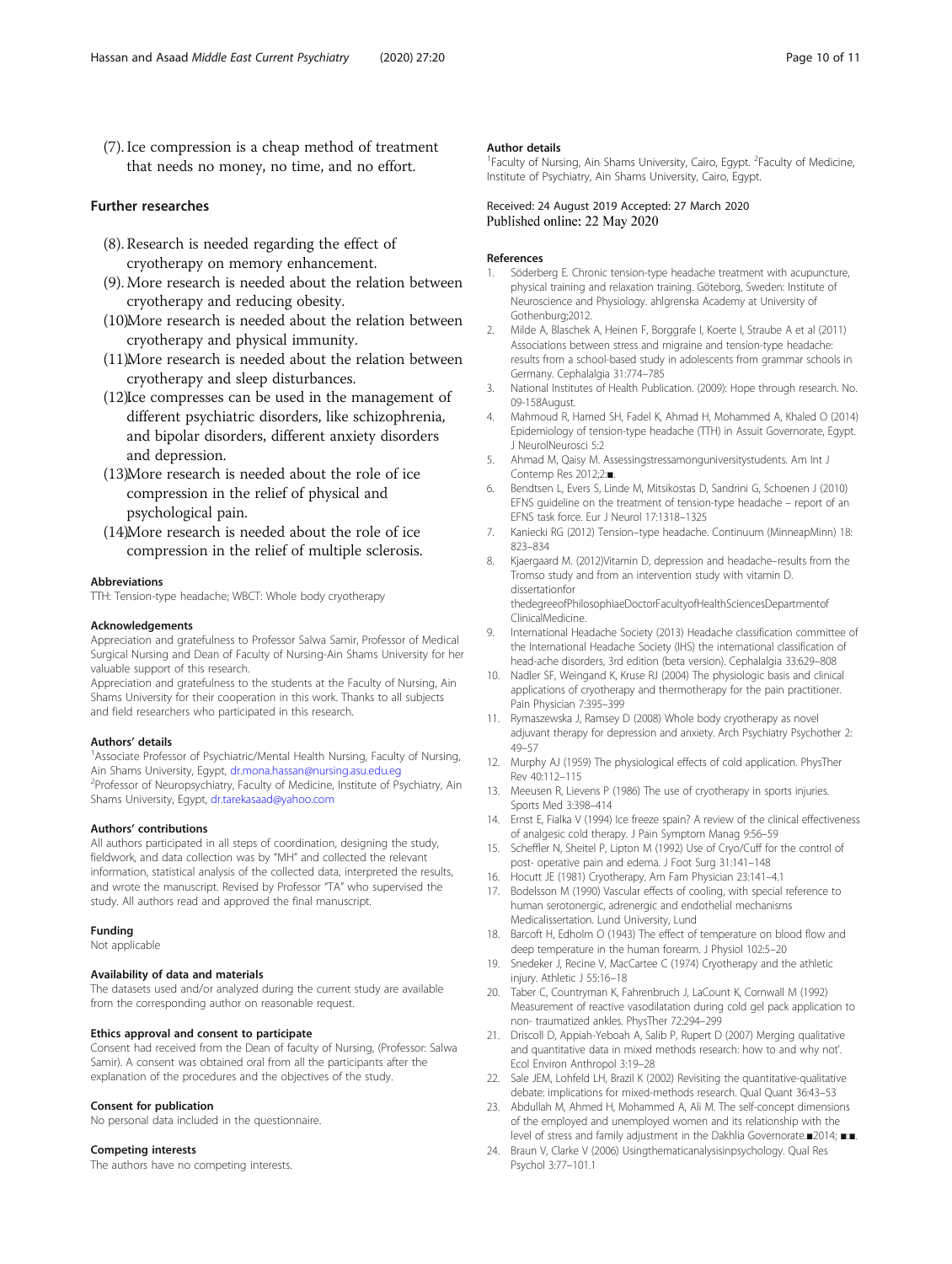<span id="page-9-0"></span>(7). Ice compression is a cheap method of treatment that needs no money, no time, and no effort.

#### Further researches

- (8). Research is needed regarding the effect of cryotherapy on memory enhancement.
- (9).More research is needed about the relation between cryotherapy and reducing obesity.
- (10)More research is needed about the relation between cryotherapy and physical immunity.
- (11)More research is needed about the relation between cryotherapy and sleep disturbances.
- (12) Ice compresses can be used in the management of different psychiatric disorders, like schizophrenia, and bipolar disorders, different anxiety disorders and depression.
- (13).More research is needed about the role of ice compression in the relief of physical and psychological pain.
- (14)More research is needed about the role of ice compression in the relief of multiple sclerosis.

#### Abbreviations

TTH: Tension-type headache; WBCT: Whole body cryotherapy

#### Acknowledgements

Appreciation and gratefulness to Professor Salwa Samir, Professor of Medical Surgical Nursing and Dean of Faculty of Nursing-Ain Shams University for her valuable support of this research.

Appreciation and gratefulness to the students at the Faculty of Nursing, Ain Shams University for their cooperation in this work. Thanks to all subjects and field researchers who participated in this research.

#### Authors' details <sup>1</sup>

Associate Professor of Psychiatric/Mental Health Nursing, Faculty of Nursing, Ain Shams University, Egypt, [dr.mona.hassan@nursing.asu.edu.eg](mailto:dr.mona.hassan@nursing.asu.edu.eg) <sup>2</sup> <sup>2</sup>Professor of Neuropsychiatry, Faculty of Medicine, Institute of Psychiatry, Ain Shams University, Egypt, [dr.tarekasaad@yahoo.com](mailto:dr.tarekasaad@yahoo.com)

#### Authors' contributions

All authors participated in all steps of coordination, designing the study, fieldwork, and data collection was by "MH" and collected the relevant information, statistical analysis of the collected data, interpreted the results, and wrote the manuscript. Revised by Professor "TA" who supervised the study. All authors read and approved the final manuscript.

#### Funding

Not applicable

#### Availability of data and materials

The datasets used and/or analyzed during the current study are available from the corresponding author on reasonable request.

#### Ethics approval and consent to participate

Consent had received from the Dean of faculty of Nursing, (Professor: Salwa Samir). A consent was obtained oral from all the participants after the explanation of the procedures and the objectives of the study.

#### Consent for publication

No personal data included in the questionnaire.

#### Competing interests

The authors have no competing interests.

#### Author details

<sup>1</sup> Faculty of Nursing, Ain Shams University, Cairo, Egypt. <sup>2</sup> Faculty of Medicine, Institute of Psychiatry, Ain Shams University, Cairo, Egypt.

#### Received: 24 August 2019 Accepted: 27 March 2020 Published online: 22 May 2020

#### References

- Söderberg E. Chronic tension-type headache treatment with acupuncture, physical training and relaxation training. Göteborg, Sweden: Institute of Neuroscience and Physiology. ahlgrenska Academy at University of Gothenburg;2012.
- 2. Milde A, Blaschek A, Heinen F, Borggrafe I, Koerte I, Straube A et al (2011) Associations between stress and migraine and tension-type headache: results from a school-based study in adolescents from grammar schools in Germany. Cephalalgia 31:774–785
- 3. National Institutes of Health Publication. (2009): Hope through research. No. 09-158August.
- 4. Mahmoud R, Hamed SH, Fadel K, Ahmad H, Mohammed A, Khaled O (2014) Epidemiology of tension-type headache (TTH) in Assuit Governorate, Egypt. J NeurolNeurosci 5:2
- 5. Ahmad M, Qaisy M. Assessingstressamonguniversitystudents. Am Int J Contemp Res 2012;2:■.
- 6. Bendtsen L, Evers S, Linde M, Mitsikostas D, Sandrini G, Schoenen J (2010) EFNS guideline on the treatment of tension-type headache – report of an EFNS task force. Eur J Neurol 17:1318–1325
- 7. Kaniecki RG (2012) Tension–type headache. Continuum (MinneapMinn) 18: 823–834
- 8. Kjaergaard M. (2012)Vitamin D, depression and headache–results from the Tromso study and from an intervention study with vitamin D. dissertationfor thedegreeofPhilosophiaeDoctorFacultyofHealthSciencesDepartmentof

ClinicalMedicine.

- 9. International Headache Society (2013) Headache classification committee of the International Headache Society (IHS) the international classification of head-ache disorders, 3rd edition (beta version). Cephalalgia 33:629–808
- 10. Nadler SF, Weingand K, Kruse RJ (2004) The physiologic basis and clinical applications of cryotherapy and thermotherapy for the pain practitioner. Pain Physician 7:395–399
- 11. Rymaszewska J, Ramsey D (2008) Whole body cryotherapy as novel adjuvant therapy for depression and anxiety. Arch Psychiatry Psychother 2: 49–57
- 12. Murphy AJ (1959) The physiological effects of cold application. PhysTher Rev 40:112–115
- 13. Meeusen R, Lievens P (1986) The use of cryotherapy in sports injuries. Sports Med 3:398–414
- 14. Ernst E, Fialka V (1994) Ice freeze spain? A review of the clinical effectiveness of analgesic cold therapy. J Pain Symptom Manag 9:56–59
- 15. Scheffler N, Sheitel P, Lipton M (1992) Use of Cryo/Cuff for the control of post- operative pain and edema. J Foot Surg 31:141–148
- 16. Hocutt JE (1981) Cryotherapy. Am Fam Physician 23:141–4.1
- 17. Bodelsson M (1990) Vascular effects of cooling, with special reference to human serotonergic, adrenergic and endothelial mechanisms Medicalissertation. Lund University, Lund
- 18. Barcoft H, Edholm O (1943) The effect of temperature on blood flow and deep temperature in the human forearm. J Physiol 102:5–20
- 19. Snedeker J, Recine V, MacCartee C (1974) Cryotherapy and the athletic injury. Athletic J 55:16–18
- 20. Taber C, Countryman K, Fahrenbruch J, LaCount K, Cornwall M (1992) Measurement of reactive vasodilatation during cold gel pack application to non- traumatized ankles. PhysTher 72:294–299
- 21. Driscoll D, Appiah-Yeboah A, Salib P, Rupert D (2007) Merging qualitative and quantitative data in mixed methods research: how to and why not'. Ecol Environ Anthropol 3:19–28
- 22. Sale JEM, Lohfeld LH, Brazil K (2002) Revisiting the quantitative-qualitative debate: implications for mixed-methods research. Qual Quant 36:43–53
- 23. Abdullah M, Ahmed H, Mohammed A, Ali M. The self-concept dimensions of the employed and unemployed women and its relationship with the level of stress and family adjustment in the Dakhlia Governorate.■2014; ■:■.
- 24. Braun V, Clarke V (2006) Usingthematicanalysisinpsychology. Qual Res Psychol 3:77–101.1